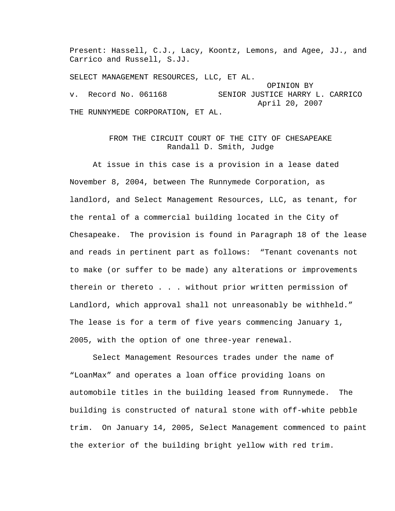Present: Hassell, C.J., Lacy, Koontz, Lemons, and Agee, JJ., and Carrico and Russell, S.JJ. SELECT MANAGEMENT RESOURCES, LLC, ET AL. OPINION BY v. Record No. 061168 SENIOR JUSTICE HARRY L. CARRICO

 April 20, 2007 THE RUNNYMEDE CORPORATION, ET AL.

## FROM THE CIRCUIT COURT OF THE CITY OF CHESAPEAKE Randall D. Smith, Judge

 At issue in this case is a provision in a lease dated November 8, 2004, between The Runnymede Corporation, as landlord, and Select Management Resources, LLC, as tenant, for the rental of a commercial building located in the City of Chesapeake. The provision is found in Paragraph 18 of the lease and reads in pertinent part as follows: "Tenant covenants not to make (or suffer to be made) any alterations or improvements therein or thereto . . . without prior written permission of Landlord, which approval shall not unreasonably be withheld." The lease is for a term of five years commencing January 1, 2005, with the option of one three-year renewal.

 Select Management Resources trades under the name of "LoanMax" and operates a loan office providing loans on automobile titles in the building leased from Runnymede. The building is constructed of natural stone with off-white pebble trim. On January 14, 2005, Select Management commenced to paint the exterior of the building bright yellow with red trim.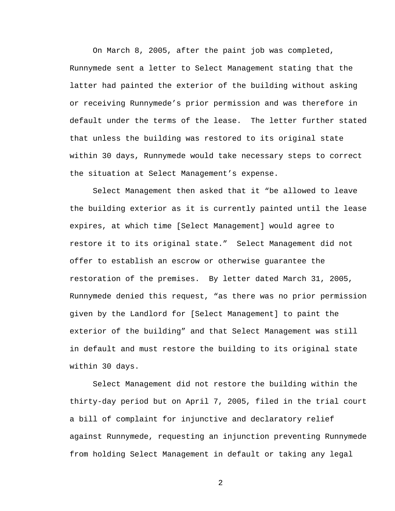On March 8, 2005, after the paint job was completed, Runnymede sent a letter to Select Management stating that the latter had painted the exterior of the building without asking or receiving Runnymede's prior permission and was therefore in default under the terms of the lease. The letter further stated that unless the building was restored to its original state within 30 days, Runnymede would take necessary steps to correct the situation at Select Management's expense.

 Select Management then asked that it "be allowed to leave the building exterior as it is currently painted until the lease expires, at which time [Select Management] would agree to restore it to its original state." Select Management did not offer to establish an escrow or otherwise guarantee the restoration of the premises. By letter dated March 31, 2005, Runnymede denied this request, "as there was no prior permission given by the Landlord for [Select Management] to paint the exterior of the building" and that Select Management was still in default and must restore the building to its original state within 30 days.

 Select Management did not restore the building within the thirty-day period but on April 7, 2005, filed in the trial court a bill of complaint for injunctive and declaratory relief against Runnymede, requesting an injunction preventing Runnymede from holding Select Management in default or taking any legal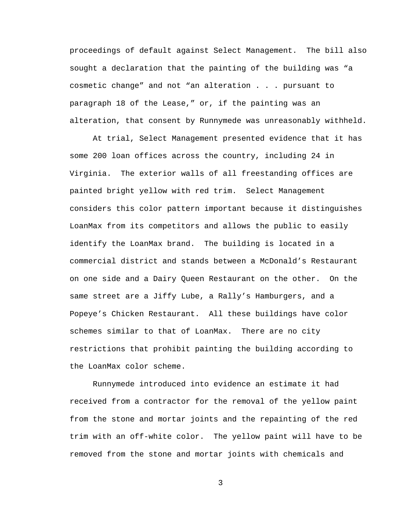proceedings of default against Select Management. The bill also sought a declaration that the painting of the building was "a cosmetic change" and not "an alteration . . . pursuant to paragraph 18 of the Lease," or, if the painting was an alteration, that consent by Runnymede was unreasonably withheld.

 At trial, Select Management presented evidence that it has some 200 loan offices across the country, including 24 in Virginia. The exterior walls of all freestanding offices are painted bright yellow with red trim. Select Management considers this color pattern important because it distinguishes LoanMax from its competitors and allows the public to easily identify the LoanMax brand. The building is located in a commercial district and stands between a McDonald's Restaurant on one side and a Dairy Queen Restaurant on the other. On the same street are a Jiffy Lube, a Rally's Hamburgers, and a Popeye's Chicken Restaurant. All these buildings have color schemes similar to that of LoanMax. There are no city restrictions that prohibit painting the building according to the LoanMax color scheme.

 Runnymede introduced into evidence an estimate it had received from a contractor for the removal of the yellow paint from the stone and mortar joints and the repainting of the red trim with an off-white color. The yellow paint will have to be removed from the stone and mortar joints with chemicals and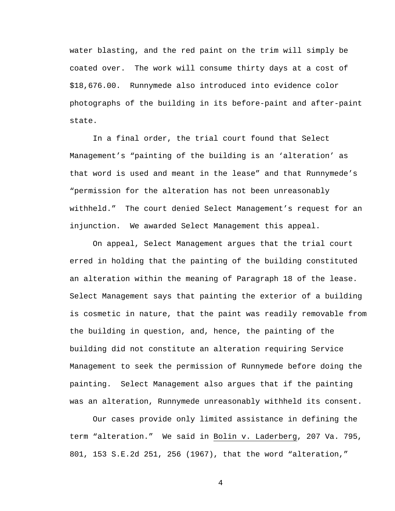water blasting, and the red paint on the trim will simply be coated over. The work will consume thirty days at a cost of \$18,676.00. Runnymede also introduced into evidence color photographs of the building in its before-paint and after-paint state.

 In a final order, the trial court found that Select Management's "painting of the building is an 'alteration' as that word is used and meant in the lease" and that Runnymede's "permission for the alteration has not been unreasonably withheld." The court denied Select Management's request for an injunction. We awarded Select Management this appeal.

 On appeal, Select Management argues that the trial court erred in holding that the painting of the building constituted an alteration within the meaning of Paragraph 18 of the lease. Select Management says that painting the exterior of a building is cosmetic in nature, that the paint was readily removable from the building in question, and, hence, the painting of the building did not constitute an alteration requiring Service Management to seek the permission of Runnymede before doing the painting. Select Management also argues that if the painting was an alteration, Runnymede unreasonably withheld its consent.

 Our cases provide only limited assistance in defining the term "alteration." We said in Bolin v. Laderberg, 207 Va. 795, 801, 153 S.E.2d 251, 256 (1967), that the word "alteration,"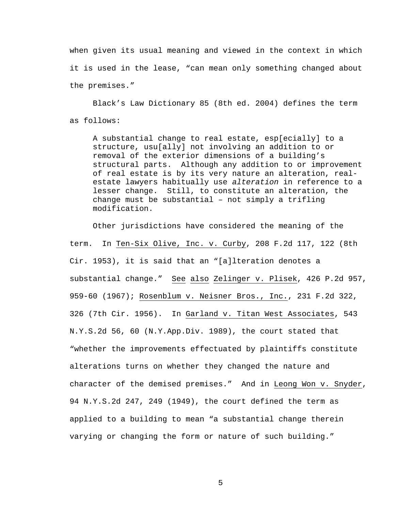when given its usual meaning and viewed in the context in which it is used in the lease, "can mean only something changed about the premises."

 Black's Law Dictionary 85 (8th ed. 2004) defines the term as follows:

A substantial change to real estate, esp[ecially] to a structure, usu[ally] not involving an addition to or removal of the exterior dimensions of a building's structural parts. Although any addition to or improvement of real estate is by its very nature an alteration, realestate lawyers habitually use *alteration* in reference to a lesser change. Still, to constitute an alteration, the change must be substantial – not simply a trifling modification.

 Other jurisdictions have considered the meaning of the term. In Ten-Six Olive, Inc. v. Curby, 208 F.2d 117, 122 (8th Cir. 1953), it is said that an "[a]lteration denotes a substantial change." See also Zelinger v. Plisek, 426 P.2d 957, 959-60 (1967); Rosenblum v. Neisner Bros., Inc., 231 F.2d 322, 326 (7th Cir. 1956). In Garland v. Titan West Associates, 543 N.Y.S.2d 56, 60 (N.Y.App.Div. 1989), the court stated that "whether the improvements effectuated by plaintiffs constitute alterations turns on whether they changed the nature and character of the demised premises." And in Leong Won v. Snyder, 94 N.Y.S.2d 247, 249 (1949), the court defined the term as applied to a building to mean "a substantial change therein varying or changing the form or nature of such building."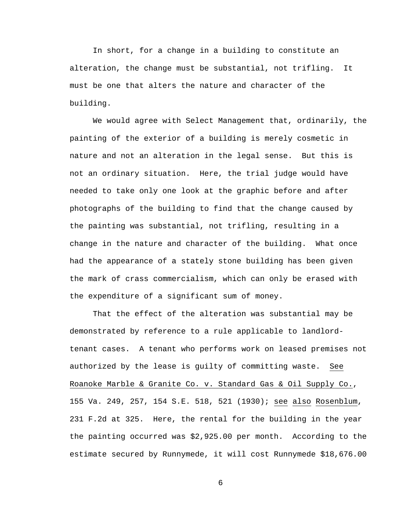In short, for a change in a building to constitute an alteration, the change must be substantial, not trifling. It must be one that alters the nature and character of the building.

 We would agree with Select Management that, ordinarily, the painting of the exterior of a building is merely cosmetic in nature and not an alteration in the legal sense. But this is not an ordinary situation. Here, the trial judge would have needed to take only one look at the graphic before and after photographs of the building to find that the change caused by the painting was substantial, not trifling, resulting in a change in the nature and character of the building. What once had the appearance of a stately stone building has been given the mark of crass commercialism, which can only be erased with the expenditure of a significant sum of money.

 That the effect of the alteration was substantial may be demonstrated by reference to a rule applicable to landlordtenant cases. A tenant who performs work on leased premises not authorized by the lease is guilty of committing waste. See Roanoke Marble & Granite Co. v. Standard Gas & Oil Supply Co., 155 Va. 249, 257, 154 S.E. 518, 521 (1930); see also Rosenblum, 231 F.2d at 325. Here, the rental for the building in the year the painting occurred was \$2,925.00 per month. According to the estimate secured by Runnymede, it will cost Runnymede \$18,676.00